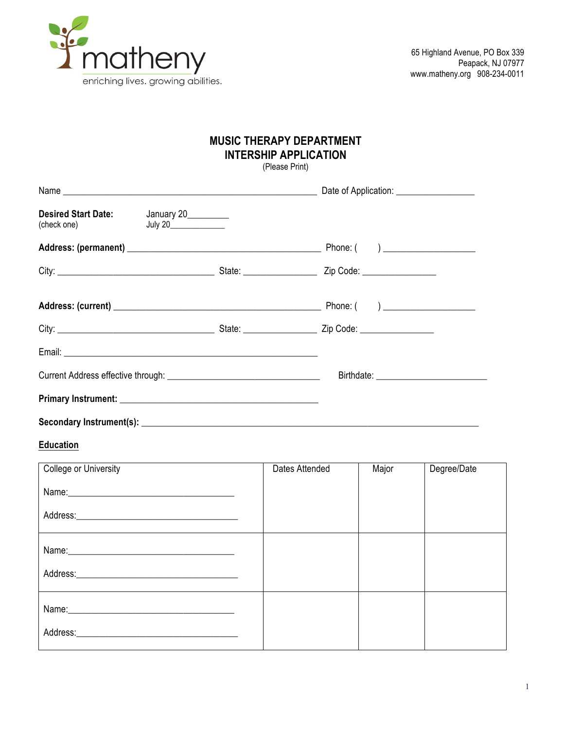

## **MUSIC THERAPY DEPARTMENT INTERSHIP APPLICATION**

(Please Print)

| $\left(\text{check one}\right)$ July 20 | Desired Start Date: January 20_______ |  |
|-----------------------------------------|---------------------------------------|--|
|                                         |                                       |  |
|                                         |                                       |  |
|                                         |                                       |  |
|                                         |                                       |  |
|                                         |                                       |  |
|                                         |                                       |  |
|                                         |                                       |  |
|                                         |                                       |  |

## **Education**

| College or University                                                                                                                                                                                                          | Dates Attended | Major | Degree/Date |
|--------------------------------------------------------------------------------------------------------------------------------------------------------------------------------------------------------------------------------|----------------|-------|-------------|
|                                                                                                                                                                                                                                |                |       |             |
|                                                                                                                                                                                                                                |                |       |             |
| Name: Name:                                                                                                                                                                                                                    |                |       |             |
|                                                                                                                                                                                                                                |                |       |             |
|                                                                                                                                                                                                                                |                |       |             |
| Address: Analysis and the state of the state of the state of the state of the state of the state of the state of the state of the state of the state of the state of the state of the state of the state of the state of the s |                |       |             |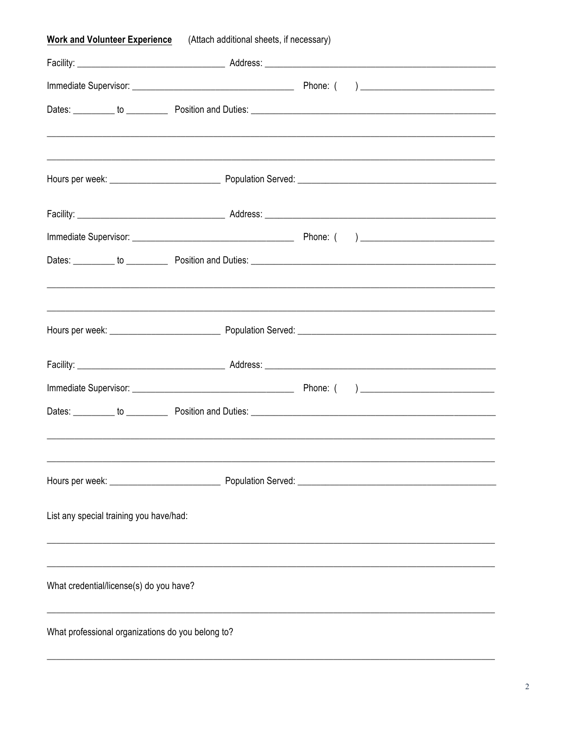| <b>Work and Volunteer Experience</b>              | (Attach additional sheets, if necessary)                                          |  |  |
|---------------------------------------------------|-----------------------------------------------------------------------------------|--|--|
|                                                   |                                                                                   |  |  |
|                                                   |                                                                                   |  |  |
|                                                   |                                                                                   |  |  |
|                                                   |                                                                                   |  |  |
|                                                   |                                                                                   |  |  |
|                                                   |                                                                                   |  |  |
|                                                   |                                                                                   |  |  |
|                                                   |                                                                                   |  |  |
|                                                   |                                                                                   |  |  |
|                                                   |                                                                                   |  |  |
|                                                   |                                                                                   |  |  |
|                                                   |                                                                                   |  |  |
|                                                   |                                                                                   |  |  |
|                                                   |                                                                                   |  |  |
|                                                   |                                                                                   |  |  |
| List any special training you have/had:           | ,我们也不能在这里的人,我们也不能在这里的人,我们也不能在这里的人,我们也不能在这里的人,我们也不能在这里的人,我们也不能在这里的人,我们也不能在这里的人,我们也 |  |  |
| What credential/license(s) do you have?           |                                                                                   |  |  |
|                                                   |                                                                                   |  |  |
| What professional organizations do you belong to? |                                                                                   |  |  |